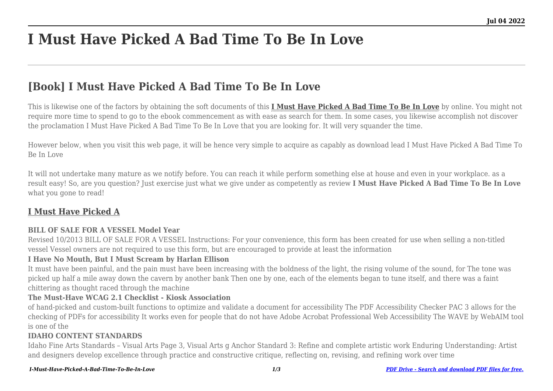# **I Must Have Picked A Bad Time To Be In Love**

## **[Book] I Must Have Picked A Bad Time To Be In Love**

This is likewise one of the factors by obtaining the soft documents of this **[I Must Have Picked A Bad Time To Be In Love](http://goldwoodgardens.com)** by online. You might not require more time to spend to go to the ebook commencement as with ease as search for them. In some cases, you likewise accomplish not discover the proclamation I Must Have Picked A Bad Time To Be In Love that you are looking for. It will very squander the time.

However below, when you visit this web page, it will be hence very simple to acquire as capably as download lead I Must Have Picked A Bad Time To Be In Love

It will not undertake many mature as we notify before. You can reach it while perform something else at house and even in your workplace. as a result easy! So, are you question? Just exercise just what we give under as competently as review **I Must Have Picked A Bad Time To Be In Love** what you gone to read!

### **[I Must Have Picked A](http://goldwoodgardens.com/I-Must-Have-Picked-A-Bad-Time-To-Be-In-Love.pdf)**

#### **BILL OF SALE FOR A VESSEL Model Year**

Revised 10/2013 BILL OF SALE FOR A VESSEL Instructions: For your convenience, this form has been created for use when selling a non-titled vessel Vessel owners are not required to use this form, but are encouraged to provide at least the information

#### **I Have No Mouth, But I Must Scream by Harlan Ellison**

It must have been painful, and the pain must have been increasing with the boldness of the light, the rising volume of the sound, for The tone was picked up half a mile away down the cavern by another bank Then one by one, each of the elements began to tune itself, and there was a faint chittering as thought raced through the machine

#### **The Must-Have WCAG 2.1 Checklist - Kiosk Association**

of hand-picked and custom-built functions to optimize and validate a document for accessibility The PDF Accessibility Checker PAC 3 allows for the checking of PDFs for accessibility It works even for people that do not have Adobe Acrobat Professional Web Accessibility The WAVE by WebAIM tool is one of the

#### **IDAHO CONTENT STANDARDS**

Idaho Fine Arts Standards – Visual Arts Page 3, Visual Arts g Anchor Standard 3: Refine and complete artistic work Enduring Understanding: Artist and designers develop excellence through practice and constructive critique, reflecting on, revising, and refining work over time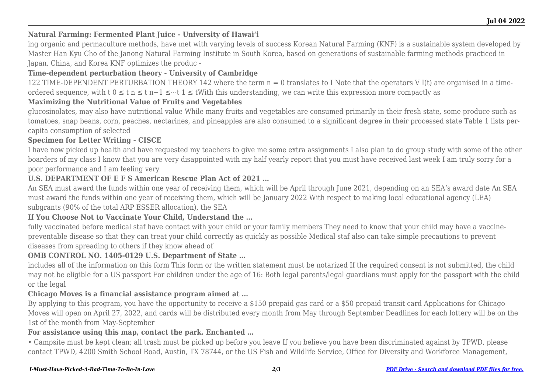#### **Natural Farming: Fermented Plant Juice - University of Hawaiʻi**

ing organic and permaculture methods, have met with varying levels of success Korean Natural Farming (KNF) is a sustainable system developed by Master Han Kyu Cho of the Janong Natural Farming Institute in South Korea, based on generations of sustainable farming methods practiced in Japan, China, and Korea KNF optimizes the produc -

#### **Time-dependent perturbation theory - University of Cambridge**

122 TIME-DEPENDENT PERTURBATION THEORY 142 where the term n = 0 translates to I Note that the operators V I(t) are organised in a timeordered sequence, with t 0 ≤ t n ≤ t n−1 ≤···t 1 ≤ tWith this understanding, we can write this expression more compactly as

#### **Maximizing the Nutritional Value of Fruits and Vegetables**

glucosinolates, may also have nutritional value While many fruits and vegetables are consumed primarily in their fresh state, some produce such as tomatoes, snap beans, corn, peaches, nectarines, and pineapples are also consumed to a significant degree in their processed state Table 1 lists percapita consumption of selected

#### **Specimen for Letter Writing - CISCE**

I have now picked up health and have requested my teachers to give me some extra assignments I also plan to do group study with some of the other boarders of my class I know that you are very disappointed with my half yearly report that you must have received last week I am truly sorry for a poor performance and I am feeling very

#### **U.S. DEPARTMENT OF E F S American Rescue Plan Act of 2021 …**

An SEA must award the funds within one year of receiving them, which will be April through June 2021, depending on an SEA's award date An SEA must award the funds within one year of receiving them, which will be January 2022 With respect to making local educational agency (LEA) subgrants (90% of the total ARP ESSER allocation), the SEA

#### **If You Choose Not to Vaccinate Your Child, Understand the …**

fully vaccinated before medical staf have contact with your child or your family members They need to know that your child may have a vaccinepreventable disease so that they can treat your child correctly as quickly as possible Medical staf also can take simple precautions to prevent diseases from spreading to others if they know ahead of

#### **OMB CONTROL NO. 1405-0129 U.S. Department of State …**

includes all of the information on this form This form or the written statement must be notarized If the required consent is not submitted, the child may not be eligible for a US passport For children under the age of 16: Both legal parents/legal guardians must apply for the passport with the child or the legal

#### **Chicago Moves is a financial assistance program aimed at …**

By applying to this program, you have the opportunity to receive a \$150 prepaid gas card or a \$50 prepaid transit card Applications for Chicago Moves will open on April 27, 2022, and cards will be distributed every month from May through September Deadlines for each lottery will be on the 1st of the month from May-September

#### **For assistance using this map, contact the park. Enchanted …**

• Campsite must be kept clean; all trash must be picked up before you leave If you believe you have been discriminated against by TPWD, please contact TPWD, 4200 Smith School Road, Austin, TX 78744, or the US Fish and Wildlife Service, Office for Diversity and Workforce Management,